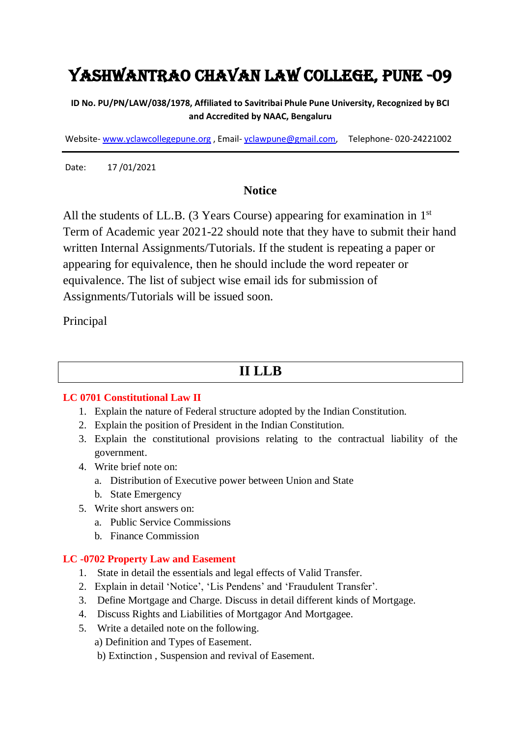# Yashwantrao Chavan Law College, Pune -09

**ID No. PU/PN/LAW/038/1978, Affiliated to Savitribai Phule Pune University, Recognized by BCI and Accredited by NAAC, Bengaluru**

Website- [www.yclawcollegepune.org](http://www.yclawcollegepune.org/) , Email- [yclawpune@gmail.com,](mailto:yclawpune@gmail.com) Telephone- 020-24221002

Date: 17 /01/2021

#### **Notice**

All the students of LL.B. (3 Years Course) appearing for examination in 1<sup>st</sup> Term of Academic year 2021-22 should note that they have to submit their hand written Internal Assignments/Tutorials. If the student is repeating a paper or appearing for equivalence, then he should include the word repeater or equivalence. The list of subject wise email ids for submission of Assignments/Tutorials will be issued soon.

Principal

### **II LLB**

#### **LC 0701 Constitutional Law II**

- 1. Explain the nature of Federal structure adopted by the Indian Constitution.
- 2. Explain the position of President in the Indian Constitution.
- 3. Explain the constitutional provisions relating to the contractual liability of the government.
- 4. Write brief note on:
	- a. Distribution of Executive power between Union and State
	- b. State Emergency
- 5. Write short answers on:
	- a. Public Service Commissions
	- b. Finance Commission

#### **LC -0702 Property Law and Easement**

- 1. State in detail the essentials and legal effects of Valid Transfer.
- 2. Explain in detail 'Notice', 'Lis Pendens' and 'Fraudulent Transfer'.
- 3. Define Mortgage and Charge. Discuss in detail different kinds of Mortgage.
- 4. Discuss Rights and Liabilities of Mortgagor And Mortgagee.
- 5. Write a detailed note on the following.

a) Definition and Types of Easement.

b) Extinction , Suspension and revival of Easement.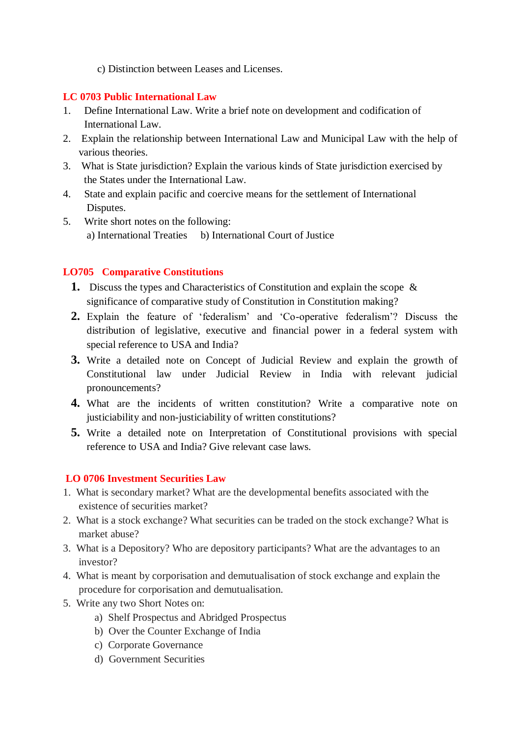c) Distinction between Leases and Licenses.

#### **LC 0703 Public International Law**

- 1. Define International Law. Write a brief note on development and codification of International Law.
- 2. Explain the relationship between International Law and Municipal Law with the help of various theories.
- 3. What is State jurisdiction? Explain the various kinds of State jurisdiction exercised by the States under the International Law.
- 4. State and explain pacific and coercive means for the settlement of International Disputes.
- 5. Write short notes on the following: a) International Treaties b) International Court of Justice

#### **LO705 Comparative Constitutions**

- **1.** Discuss the types and Characteristics of Constitution and explain the scope & significance of comparative study of Constitution in Constitution making?
- **2.** Explain the feature of 'federalism' and 'Co-operative federalism'? Discuss the distribution of legislative, executive and financial power in a federal system with special reference to USA and India?
- **3.** Write a detailed note on Concept of Judicial Review and explain the growth of Constitutional law under Judicial Review in India with relevant judicial pronouncements?
- **4.** What are the incidents of written constitution? Write a comparative note on justiciability and non-justiciability of written constitutions?
- **5.** Write a detailed note on Interpretation of Constitutional provisions with special reference to USA and India? Give relevant case laws.

#### **LO 0706 Investment Securities Law**

- 1. What is secondary market? What are the developmental benefits associated with the existence of securities market?
- 2. What is a stock exchange? What securities can be traded on the stock exchange? What is market abuse?
- 3. What is a Depository? Who are depository participants? What are the advantages to an investor?
- 4. What is meant by corporisation and demutualisation of stock exchange and explain the procedure for corporisation and demutualisation.
- 5. Write any two Short Notes on:
	- a) Shelf Prospectus and Abridged Prospectus
	- b) Over the Counter Exchange of India
	- c) Corporate Governance
	- d) Government Securities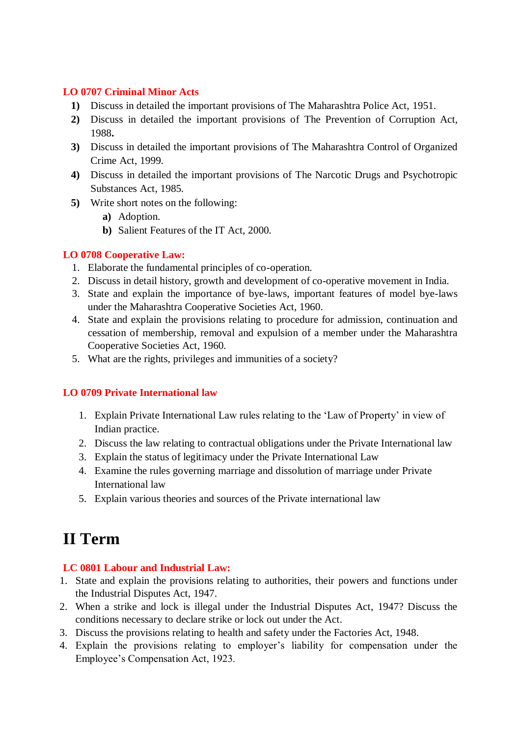#### **LO 0707 Criminal Minor Acts**

- **1)** Discuss in detailed the important provisions of The Maharashtra Police Act, 1951.
- **2)** Discuss in detailed the important provisions of The Prevention of Corruption Act, 1988**.**
- **3)** Discuss in detailed the important provisions of The Maharashtra Control of Organized Crime Act, 1999.
- **4)** Discuss in detailed the important provisions of The Narcotic Drugs and Psychotropic Substances Act, 1985.
- **5)** Write short notes on the following:
	- **a)** Adoption.
	- **b)** Salient Features of the IT Act, 2000.

#### **LO 0708 Cooperative Law:**

- 1. Elaborate the fundamental principles of co-operation.
- 2. Discuss in detail history, growth and development of co-operative movement in India.
- 3. State and explain the importance of bye-laws, important features of model bye-laws under the Maharashtra Cooperative Societies Act, 1960.
- 4. State and explain the provisions relating to procedure for admission, continuation and cessation of membership, removal and expulsion of a member under the Maharashtra Cooperative Societies Act, 1960.
- 5. What are the rights, privileges and immunities of a society?

#### **LO 0709 Private International law**

- 1. Explain Private International Law rules relating to the 'Law of Property' in view of Indian practice.
- 2. Discuss the law relating to contractual obligations under the Private International law
- 3. Explain the status of legitimacy under the Private International Law
- 4. Examine the rules governing marriage and dissolution of marriage under Private International law
- 5. Explain various theories and sources of the Private international law

## **II Term**

#### **LC 0801 Labour and Industrial Law:**

- 1. State and explain the provisions relating to authorities, their powers and functions under the Industrial Disputes Act, 1947.
- 2. When a strike and lock is illegal under the Industrial Disputes Act, 1947? Discuss the conditions necessary to declare strike or lock out under the Act.
- 3. Discuss the provisions relating to health and safety under the Factories Act, 1948.
- 4. Explain the provisions relating to employer's liability for compensation under the Employee's Compensation Act, 1923.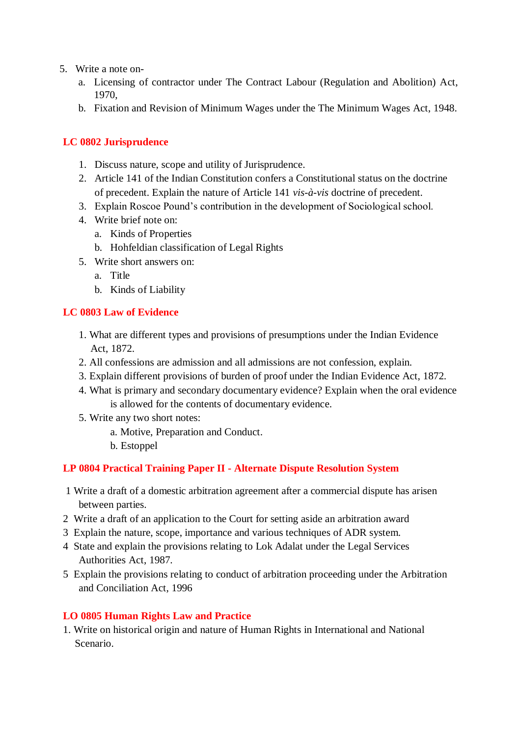- 5. Write a note on
	- a. Licensing of contractor under The Contract Labour (Regulation and Abolition) Act, 1970,
	- b. Fixation and Revision of Minimum Wages under the The Minimum Wages Act, 1948.

#### **LC 0802 Jurisprudence**

- 1. Discuss nature, scope and utility of Jurisprudence.
- 2. Article 141 of the Indian Constitution confers a Constitutional status on the doctrine of precedent. Explain the nature of Article 141 *vis-à-vis* doctrine of precedent.
- 3. Explain Roscoe Pound's contribution in the development of Sociological school.
- 4. Write brief note on:
	- a. Kinds of Properties
	- b. Hohfeldian classification of Legal Rights
- 5. Write short answers on:
	- a. Title
	- b. Kinds of Liability

#### **LC 0803 Law of Evidence**

- 1. What are different types and provisions of presumptions under the Indian Evidence Act, 1872.
- 2. All confessions are admission and all admissions are not confession, explain.
- 3. Explain different provisions of burden of proof under the Indian Evidence Act, 1872.
- 4. What is primary and secondary documentary evidence? Explain when the oral evidence is allowed for the contents of documentary evidence.
- 5. Write any two short notes:
	- a. Motive, Preparation and Conduct.
	- b. Estoppel

#### **LP 0804 Practical Training Paper II - Alternate Dispute Resolution System**

- 1 Write a draft of a domestic arbitration agreement after a commercial dispute has arisen between parties.
- 2 Write a draft of an application to the Court for setting aside an arbitration award
- 3 Explain the nature, scope, importance and various techniques of ADR system.
- 4 State and explain the provisions relating to Lok Adalat under the Legal Services Authorities Act, 1987.
- 5 Explain the provisions relating to conduct of arbitration proceeding under the Arbitration and Conciliation Act, 1996

#### **LO 0805 Human Rights Law and Practice**

1. Write on historical origin and nature of Human Rights in International and National Scenario.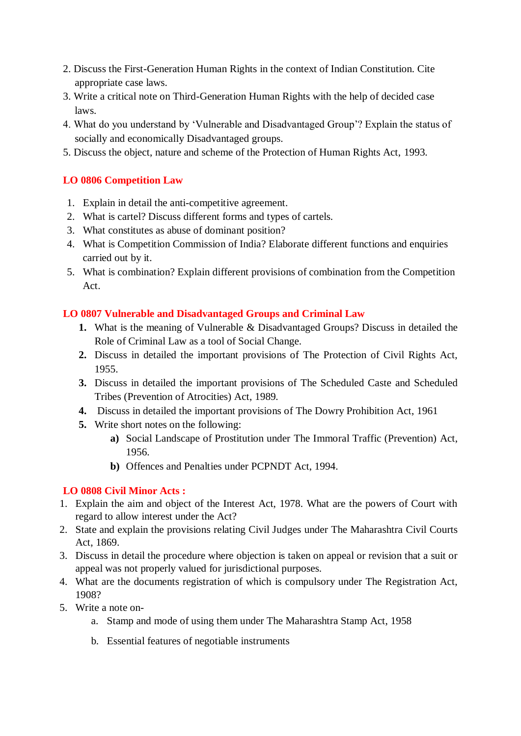- 2. Discuss the First-Generation Human Rights in the context of Indian Constitution. Cite appropriate case laws.
- 3. Write a critical note on Third-Generation Human Rights with the help of decided case laws.
- 4. What do you understand by 'Vulnerable and Disadvantaged Group'? Explain the status of socially and economically Disadvantaged groups.
- 5. Discuss the object, nature and scheme of the Protection of Human Rights Act, 1993.

#### **LO 0806 Competition Law**

- 1. Explain in detail the anti-competitive agreement.
- 2. What is cartel? Discuss different forms and types of cartels.
- 3. What constitutes as abuse of dominant position?
- 4. What is Competition Commission of India? Elaborate different functions and enquiries carried out by it.
- 5. What is combination? Explain different provisions of combination from the Competition Act.

#### **LO 0807 Vulnerable and Disadvantaged Groups and Criminal Law**

- **1.** What is the meaning of Vulnerable & Disadvantaged Groups? Discuss in detailed the Role of Criminal Law as a tool of Social Change.
- **2.** Discuss in detailed the important provisions of The Protection of Civil Rights Act, 1955.
- **3.** Discuss in detailed the important provisions of The Scheduled Caste and Scheduled Tribes (Prevention of Atrocities) Act, 1989.
- **4.** Discuss in detailed the important provisions of The Dowry Prohibition Act, 1961
- **5.** Write short notes on the following:
	- **a)** Social Landscape of Prostitution under The Immoral Traffic (Prevention) Act, 1956.
	- **b)** Offences and Penalties under PCPNDT Act, 1994.

#### **LO 0808 Civil Minor Acts :**

- 1. Explain the aim and object of the Interest Act, 1978. What are the powers of Court with regard to allow interest under the Act?
- 2. State and explain the provisions relating Civil Judges under The Maharashtra Civil Courts Act, 1869.
- 3. Discuss in detail the procedure where objection is taken on appeal or revision that a suit or appeal was not properly valued for jurisdictional purposes.
- 4. What are the documents registration of which is compulsory under The Registration Act, 1908?
- 5. Write a note on
	- a. Stamp and mode of using them under The Maharashtra Stamp Act, 1958
	- b. Essential features of negotiable instruments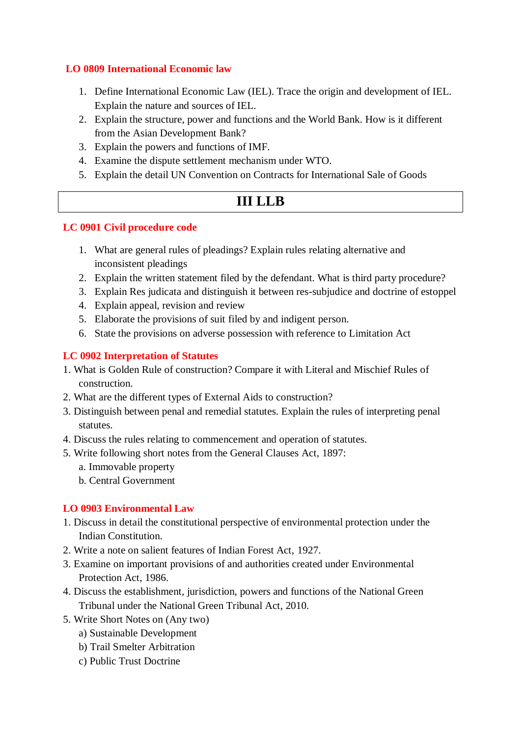#### **LO 0809 International Economic law**

- 1. Define International Economic Law (IEL). Trace the origin and development of IEL. Explain the nature and sources of IEL.
- 2. Explain the structure, power and functions and the World Bank. How is it different from the Asian Development Bank?
- 3. Explain the powers and functions of IMF.
- 4. Examine the dispute settlement mechanism under WTO.
- 5. Explain the detail UN Convention on Contracts for International Sale of Goods

## **III LLB**

#### **LC 0901 Civil procedure code**

- 1. What are general rules of pleadings? Explain rules relating alternative and inconsistent pleadings
- 2. Explain the written statement filed by the defendant. What is third party procedure?
- 3. Explain Res judicata and distinguish it between res-subjudice and doctrine of estoppel
- 4. Explain appeal, revision and review
- 5. Elaborate the provisions of suit filed by and indigent person.
- 6. State the provisions on adverse possession with reference to Limitation Act

#### **LC 0902 Interpretation of Statutes**

- 1. What is Golden Rule of construction? Compare it with Literal and Mischief Rules of construction.
- 2. What are the different types of External Aids to construction?
- 3. Distinguish between penal and remedial statutes. Explain the rules of interpreting penal statutes.
- 4. Discuss the rules relating to commencement and operation of statutes.
- 5. Write following short notes from the General Clauses Act, 1897:
	- a. Immovable property
	- b. Central Government

#### **LO 0903 Environmental Law**

- 1. Discuss in detail the constitutional perspective of environmental protection under the Indian Constitution.
- 2. Write a note on salient features of Indian Forest Act, 1927.
- 3. Examine on important provisions of and authorities created under Environmental Protection Act, 1986.
- 4. Discuss the establishment, jurisdiction, powers and functions of the National Green Tribunal under the National Green Tribunal Act, 2010.
- 5. Write Short Notes on (Any two)
	- a) Sustainable Development
	- b) Trail Smelter Arbitration
	- c) Public Trust Doctrine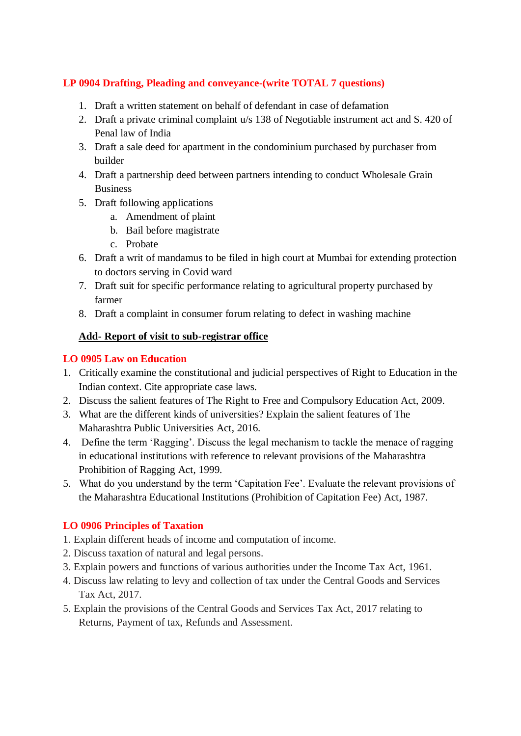#### **LP 0904 Drafting, Pleading and conveyance-(write TOTAL 7 questions)**

- 1. Draft a written statement on behalf of defendant in case of defamation
- 2. Draft a private criminal complaint u/s 138 of Negotiable instrument act and S. 420 of Penal law of India
- 3. Draft a sale deed for apartment in the condominium purchased by purchaser from builder
- 4. Draft a partnership deed between partners intending to conduct Wholesale Grain Business
- 5. Draft following applications
	- a. Amendment of plaint
	- b. Bail before magistrate
	- c. Probate
- 6. Draft a writ of mandamus to be filed in high court at Mumbai for extending protection to doctors serving in Covid ward
- 7. Draft suit for specific performance relating to agricultural property purchased by farmer
- 8. Draft a complaint in consumer forum relating to defect in washing machine

#### **Add- Report of visit to sub-registrar office**

#### **LO 0905 Law on Education**

- 1. Critically examine the constitutional and judicial perspectives of Right to Education in the Indian context. Cite appropriate case laws.
- 2. Discuss the salient features of The Right to Free and Compulsory Education Act, 2009.
- 3. What are the different kinds of universities? Explain the salient features of The Maharashtra Public Universities Act, 2016.
- 4. Define the term 'Ragging'. Discuss the legal mechanism to tackle the menace of ragging in educational institutions with reference to relevant provisions of the Maharashtra Prohibition of Ragging Act, 1999.
- 5. What do you understand by the term 'Capitation Fee'. Evaluate the relevant provisions of the Maharashtra Educational Institutions (Prohibition of Capitation Fee) Act, 1987.

#### **LO 0906 Principles of Taxation**

- 1. Explain different heads of income and computation of income.
- 2. Discuss taxation of natural and legal persons.
- 3. Explain powers and functions of various authorities under the Income Tax Act, 1961.
- 4. Discuss law relating to levy and collection of tax under the Central Goods and Services Tax Act, 2017.
- 5. Explain the provisions of the Central Goods and Services Tax Act, 2017 relating to Returns, Payment of tax, Refunds and Assessment.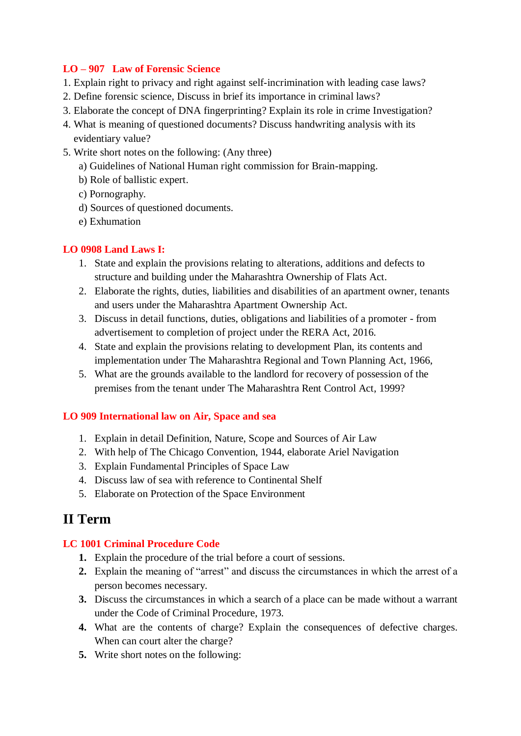#### **LO – 907 Law of Forensic Science**

- 1. Explain right to privacy and right against self-incrimination with leading case laws?
- 2. Define forensic science, Discuss in brief its importance in criminal laws?
- 3. Elaborate the concept of DNA fingerprinting? Explain its role in crime Investigation?
- 4. What is meaning of questioned documents? Discuss handwriting analysis with its evidentiary value?
- 5. Write short notes on the following: (Any three)
	- a) Guidelines of National Human right commission for Brain-mapping.
	- b) Role of ballistic expert.
	- c) Pornography.
	- d) Sources of questioned documents.
	- e) Exhumation

#### **LO 0908 Land Laws I:**

- 1. State and explain the provisions relating to alterations, additions and defects to structure and building under the Maharashtra Ownership of Flats Act.
- 2. Elaborate the rights, duties, liabilities and disabilities of an apartment owner, tenants and users under the Maharashtra Apartment Ownership Act.
- 3. Discuss in detail functions, duties, obligations and liabilities of a promoter from advertisement to completion of project under the RERA Act, 2016.
- 4. State and explain the provisions relating to development Plan, its contents and implementation under The Maharashtra Regional and Town Planning Act, 1966,
- 5. What are the grounds available to the landlord for recovery of possession of the premises from the tenant under The Maharashtra Rent Control Act, 1999?

#### **LO 909 International law on Air, Space and sea**

- 1. Explain in detail Definition, Nature, Scope and Sources of Air Law
- 2. With help of The Chicago Convention, 1944, elaborate Ariel Navigation
- 3. Explain Fundamental Principles of Space Law
- 4. Discuss law of sea with reference to Continental Shelf
- 5. Elaborate on Protection of the Space Environment

## **II Term**

#### **LC 1001 Criminal Procedure Code**

- **1.** Explain the procedure of the trial before a court of sessions.
- **2.** Explain the meaning of "arrest" and discuss the circumstances in which the arrest of a person becomes necessary.
- **3.** Discuss the circumstances in which a search of a place can be made without a warrant under the Code of Criminal Procedure, 1973.
- **4.** What are the contents of charge? Explain the consequences of defective charges. When can court alter the charge?
- **5.** Write short notes on the following: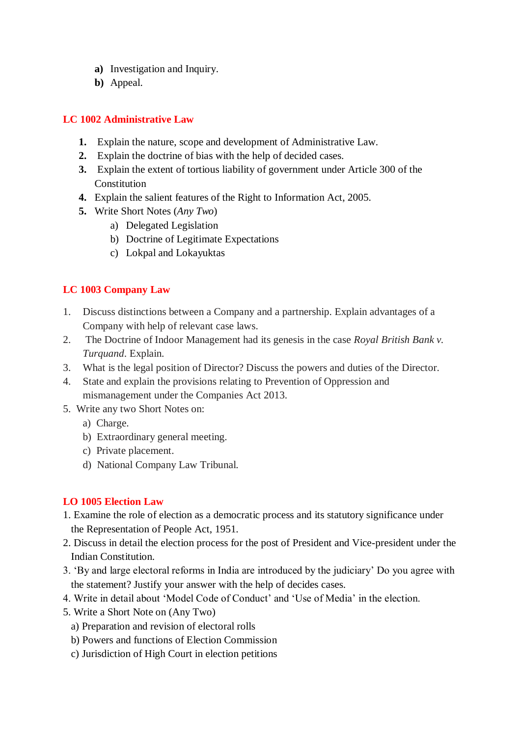- **a)** Investigation and Inquiry.
- **b)** Appeal.

#### **LC 1002 Administrative Law**

- **1.** Explain the nature, scope and development of Administrative Law.
- **2.** Explain the doctrine of bias with the help of decided cases.
- **3.** Explain the extent of tortious liability of government under Article 300 of the Constitution
- **4.** Explain the salient features of the Right to Information Act, 2005.
- **5.** Write Short Notes (*Any Two*)
	- a) Delegated Legislation
	- b) Doctrine of Legitimate Expectations
	- c) Lokpal and Lokayuktas

#### **LC 1003 Company Law**

- 1. Discuss distinctions between a Company and a partnership. Explain advantages of a Company with help of relevant case laws.
- 2. The Doctrine of Indoor Management had its genesis in the case *Royal British Bank v. Turquand*. Explain.
- 3. What is the legal position of Director? Discuss the powers and duties of the Director.
- 4. State and explain the provisions relating to Prevention of Oppression and mismanagement under the Companies Act 2013.
- 5. Write any two Short Notes on:
	- a) Charge.
	- b) Extraordinary general meeting.
	- c) Private placement.
	- d) National Company Law Tribunal.

#### **LO 1005 Election Law**

- 1. Examine the role of election as a democratic process and its statutory significance under the Representation of People Act, 1951.
- 2. Discuss in detail the election process for the post of President and Vice-president under the Indian Constitution.
- 3. 'By and large electoral reforms in India are introduced by the judiciary' Do you agree with the statement? Justify your answer with the help of decides cases.
- 4. Write in detail about 'Model Code of Conduct' and 'Use of Media' in the election.
- 5. Write a Short Note on (Any Two)
	- a) Preparation and revision of electoral rolls
	- b) Powers and functions of Election Commission
	- c) Jurisdiction of High Court in election petitions